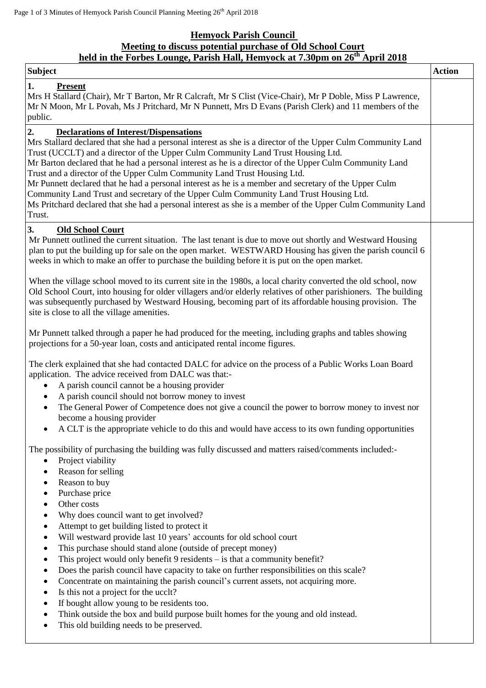# **Hemyock Parish Council**

# **Meeting to discuss potential purchase of Old School Court**

# **held in the Forbes Lounge, Parish Hall, Hemyock at 7.30pm on 26th April 2018**

| <b>Subject</b>                                                                                                                                                                                                                                                                                                                                                                                                                                                                                                                                                                                                                                                                                                                                                                                                                                                                                                                                                                                                                                          | <b>Action</b> |
|---------------------------------------------------------------------------------------------------------------------------------------------------------------------------------------------------------------------------------------------------------------------------------------------------------------------------------------------------------------------------------------------------------------------------------------------------------------------------------------------------------------------------------------------------------------------------------------------------------------------------------------------------------------------------------------------------------------------------------------------------------------------------------------------------------------------------------------------------------------------------------------------------------------------------------------------------------------------------------------------------------------------------------------------------------|---------------|
| $\mathbf{1}$ .<br><b>Present</b><br>Mrs H Stallard (Chair), Mr T Barton, Mr R Calcraft, Mr S Clist (Vice-Chair), Mr P Doble, Miss P Lawrence,<br>Mr N Moon, Mr L Povah, Ms J Pritchard, Mr N Punnett, Mrs D Evans (Parish Clerk) and 11 members of the<br>public.                                                                                                                                                                                                                                                                                                                                                                                                                                                                                                                                                                                                                                                                                                                                                                                       |               |
| 2.<br><b>Declarations of Interest/Dispensations</b><br>Mrs Stallard declared that she had a personal interest as she is a director of the Upper Culm Community Land<br>Trust (UCCLT) and a director of the Upper Culm Community Land Trust Housing Ltd.<br>Mr Barton declared that he had a personal interest as he is a director of the Upper Culm Community Land<br>Trust and a director of the Upper Culm Community Land Trust Housing Ltd.<br>Mr Punnett declared that he had a personal interest as he is a member and secretary of the Upper Culm<br>Community Land Trust and secretary of the Upper Culm Community Land Trust Housing Ltd.<br>Ms Pritchard declared that she had a personal interest as she is a member of the Upper Culm Community Land<br>Trust.                                                                                                                                                                                                                                                                               |               |
| 3.<br><b>Old School Court</b><br>Mr Punnett outlined the current situation. The last tenant is due to move out shortly and Westward Housing<br>plan to put the building up for sale on the open market. WESTWARD Housing has given the parish council 6<br>weeks in which to make an offer to purchase the building before it is put on the open market.                                                                                                                                                                                                                                                                                                                                                                                                                                                                                                                                                                                                                                                                                                |               |
| When the village school moved to its current site in the 1980s, a local charity converted the old school, now<br>Old School Court, into housing for older villagers and/or elderly relatives of other parishioners. The building<br>was subsequently purchased by Westward Housing, becoming part of its affordable housing provision. The<br>site is close to all the village amenities.                                                                                                                                                                                                                                                                                                                                                                                                                                                                                                                                                                                                                                                               |               |
| Mr Punnett talked through a paper he had produced for the meeting, including graphs and tables showing<br>projections for a 50-year loan, costs and anticipated rental income figures.                                                                                                                                                                                                                                                                                                                                                                                                                                                                                                                                                                                                                                                                                                                                                                                                                                                                  |               |
| The clerk explained that she had contacted DALC for advice on the process of a Public Works Loan Board<br>application. The advice received from DALC was that:-<br>A parish council cannot be a housing provider<br>A parish council should not borrow money to invest<br>$\bullet$<br>The General Power of Competence does not give a council the power to borrow money to invest nor<br>$\bullet$<br>become a housing provider<br>A CLT is the appropriate vehicle to do this and would have access to its own funding opportunities                                                                                                                                                                                                                                                                                                                                                                                                                                                                                                                  |               |
| The possibility of purchasing the building was fully discussed and matters raised/comments included:<br>Project viability<br>$\bullet$<br>Reason for selling<br>Reason to buy<br>٠<br>Purchase price<br>$\bullet$<br>Other costs<br>٠<br>Why does council want to get involved?<br>٠<br>Attempt to get building listed to protect it<br>٠<br>Will westward provide last 10 years' accounts for old school court<br>٠<br>This purchase should stand alone (outside of precept money)<br>٠<br>This project would only benefit 9 residents - is that a community benefit?<br>٠<br>Does the parish council have capacity to take on further responsibilities on this scale?<br>$\bullet$<br>Concentrate on maintaining the parish council's current assets, not acquiring more.<br>$\bullet$<br>Is this not a project for the ucclt?<br>$\bullet$<br>If bought allow young to be residents too.<br>$\bullet$<br>Think outside the box and build purpose built homes for the young and old instead.<br>$\bullet$<br>This old building needs to be preserved. |               |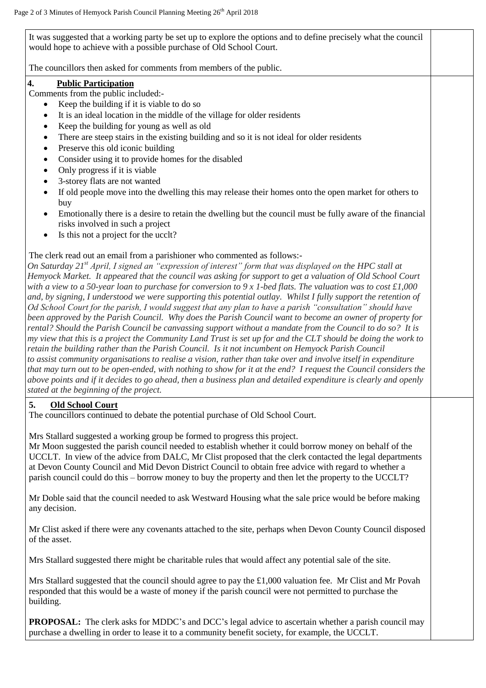It was suggested that a working party be set up to explore the options and to define precisely what the council would hope to achieve with a possible purchase of Old School Court.

The councillors then asked for comments from members of the public.

#### **4. Public Participation**

Comments from the public included:-

- Keep the building if it is viable to do so
- It is an ideal location in the middle of the village for older residents
- Keep the building for young as well as old
- There are steep stairs in the existing building and so it is not ideal for older residents
- Preserve this old iconic building
- Consider using it to provide homes for the disabled
- Only progress if it is viable
- 3-storey flats are not wanted
- If old people move into the dwelling this may release their homes onto the open market for others to buy
- Emotionally there is a desire to retain the dwelling but the council must be fully aware of the financial risks involved in such a project
- Is this not a project for the ucclt?

## The clerk read out an email from a parishioner who commented as follows:-

*On Saturday 21st April, I signed an "expression of interest" form that was displayed on the HPC stall at Hemyock Market. It appeared that the council was asking for support to get a valuation of Old School Court with a view to a 50-year loan to purchase for conversion to 9 x 1-bed flats. The valuation was to cost £1,000*  and, by signing, I understood we were supporting this potential outlay. Whilst I fully support the retention of *Od School Court for the parish, I would suggest that any plan to have a parish "consultation" should have been approved by the Parish Council. Why does the Parish Council want to become an owner of property for rental? Should the Parish Council be canvassing support without a mandate from the Council to do so? It is my view that this is a project the Community Land Trust is set up for and the CLT should be doing the work to retain the building rather than the Parish Council. Is it not incumbent on Hemyock Parish Council to assist community organisations to realise a vision, rather than take over and involve itself in expenditure that may turn out to be open-ended, with nothing to show for it at the end? I request the Council considers the above points and if it decides to go ahead, then a business plan and detailed expenditure is clearly and openly stated at the beginning of the project.*

## **5. Old School Court**

The councillors continued to debate the potential purchase of Old School Court.

Mrs Stallard suggested a working group be formed to progress this project.

Mr Moon suggested the parish council needed to establish whether it could borrow money on behalf of the UCCLT. In view of the advice from DALC, Mr Clist proposed that the clerk contacted the legal departments at Devon County Council and Mid Devon District Council to obtain free advice with regard to whether a parish council could do this – borrow money to buy the property and then let the property to the UCCLT?

Mr Doble said that the council needed to ask Westward Housing what the sale price would be before making any decision.

Mr Clist asked if there were any covenants attached to the site, perhaps when Devon County Council disposed of the asset.

Mrs Stallard suggested there might be charitable rules that would affect any potential sale of the site.

Mrs Stallard suggested that the council should agree to pay the £1,000 valuation fee. Mr Clist and Mr Povah responded that this would be a waste of money if the parish council were not permitted to purchase the building.

**PROPOSAL:** The clerk asks for MDDC's and DCC's legal advice to ascertain whether a parish council may purchase a dwelling in order to lease it to a community benefit society, for example, the UCCLT.